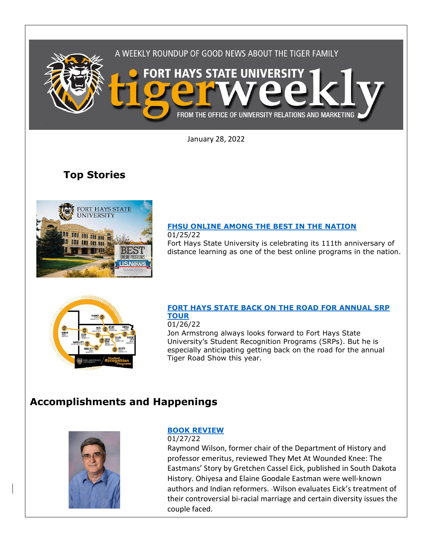

January 28, 2022

# **Top Stories**



## **[FHSU ONLINE AMONG THE BEST IN THE NATION](https://www.fhsu.edu/news/2022/01/fhsu-online-among-the-best-in-the-nation)**

01/25/22

Fort Hays State University is celebrating its 111th anniversary of distance learning as one of the best online programs in the nation.



### **[FORT HAYS STATE BACK ON THE ROAD FOR ANNUAL SRP](https://www.fhsu.edu/news/2022/01/fort-hays-state-back-on-the-road-for-annual-srp-tour)  [TOUR](https://www.fhsu.edu/news/2022/01/fort-hays-state-back-on-the-road-for-annual-srp-tour)**

### 01/26/22

Jon Armstrong always looks forward to Fort Hays State University's Student Recognition Programs (SRPs). But he is especially anticipating getting back on the road for the annual Tiger Road Show this year.

## **Accomplishments and Happenings**



### **[BOOK](https://www.sdhspress.com/journal) REVIEW**

01/27/22 Raymond Wilson, former chair of the Department of History and professor emeritus, reviewed They Met At Wounded Knee: The Eastmans' Story by Gretchen Cassel Eick, published in South Dakota History. Ohiyesa and Elaine Goodale Eastman were well-known authors and Indian reformers. - Wilson evaluates Eick's treatment of their controversial bi-racial marriage and certain diversity issues the couple faced.